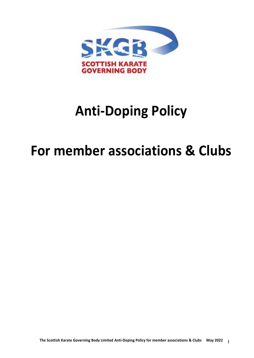

## **Anti-Doping Policy**

## **For member associations & Clubs**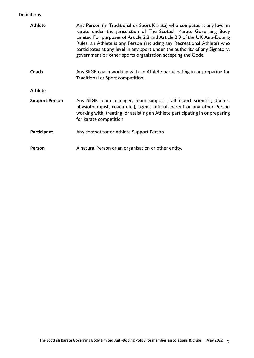## Definitions

| <b>Athlete</b>        | Any Person (in Traditional or Sport Karate) who competes at any level in<br>karate under the jurisdiction of The Scottish Karate Governing Body<br>Limited For purposes of Article 2.8 and Article 2.9 of the UK Anti-Doping<br>Rules, an Athlete is any Person (including any Recreational Athlete) who<br>participates at any level in any sport under the authority of any Signatory,<br>government or other sports organisation accepting the Code. |
|-----------------------|---------------------------------------------------------------------------------------------------------------------------------------------------------------------------------------------------------------------------------------------------------------------------------------------------------------------------------------------------------------------------------------------------------------------------------------------------------|
| Coach                 | Any SKGB coach working with an Athlete participating in or preparing for<br>Traditional or Sport competition.                                                                                                                                                                                                                                                                                                                                           |
| <b>Athlete</b>        |                                                                                                                                                                                                                                                                                                                                                                                                                                                         |
| <b>Support Person</b> | Any SKGB team manager, team support staff (sport scientist, doctor,<br>physiotherapist, coach etc.), agent, official, parent or any other Person<br>working with, treating, or assisting an Athlete participating in or preparing<br>for karate competition.                                                                                                                                                                                            |
| Participant           | Any competitor or Athlete Support Person.                                                                                                                                                                                                                                                                                                                                                                                                               |
| Person                | A natural Person or an organisation or other entity.                                                                                                                                                                                                                                                                                                                                                                                                    |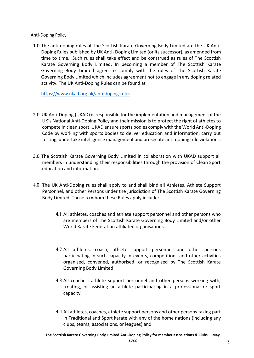Anti-Doping Policy

1.0 The anti-doping rules of The Scottish Karate Governing Body Limited are the UK Anti-Doping Rules published by UK Anti- Doping Limited (or its successor), as amended from time to time. Such rules shall take effect and be construed as rules of The Scottish Karate Governing Body Limited. In becoming a member of The Scottish Karate Governing Body Limited agree to comply with the rules of The Scottish Karate Governing Body Limited which includes agreement not to engage in any doping related activity. The UK Anti-Doping Rules can be found at

<https://www.ukad.org.uk/anti-doping-rules>

- 2.0 UK Anti-Doping (UKAD) is responsible for the implementation and management of the UK's National Anti-Doping Policy and their mission is to protect the right of athletes to compete in clean sport. UKAD ensure sports bodies comply with the World Anti-Doping Code by working with sports bodies to deliver education and information, carry out testing, undertake intelligence management and prosecute anti-doping rule violations.
- 3.0 The Scottish Karate Governing Body Limited in collaboration with UKAD support all members in understanding their responsibilities through the provision of Clean Sport education and information.
- 4.0 The UK Anti-Doping rules shall apply to and shall bind all Athletes, Athlete Support Personnel, and other Persons under the jurisdiction of The Scottish Karate Governing Body Limited. Those to whom these Rules apply include:
	- 4.1 All athletes, coaches and athlete support personnel and other persons who are members of The Scottish Karate Governing Body Limited and/or other World Karate Federation affiliated organisations.
	- 4.2 All athletes, coach, athlete support personnel and other persons participating in such capacity in events, competitions and other activities organised, convened, authorised, or recognised by The Scottish Karate Governing Body Limited.
	- 4.3 All coaches, athlete support personnel and other persons working with, treating, or assisting an athlete participating in a professional or sport capacity.
	- 4.4 All athletes, coaches, athlete support persons and other persons taking part in Traditional and Sport karate with any of the home nations (including any clubs, teams, associations, or leagues) and